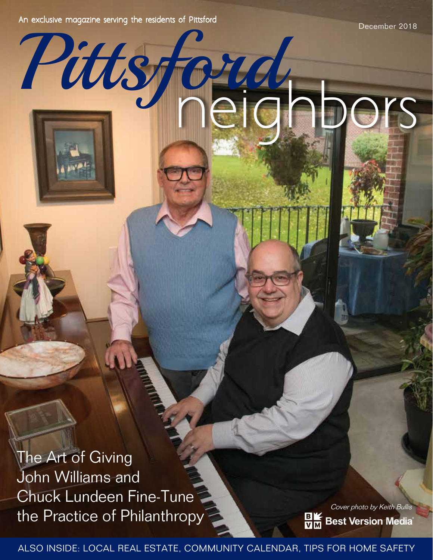An exclusive magazine serving the residents of Pittsford

Pittsford

December 2018

neighbors

The Art of Giving John Williams and Chuck Lundeen Fine-Tune the Practice of Philanthropy

Also Inside: Local Real Estate, Community Calendar, Tips for Home Safety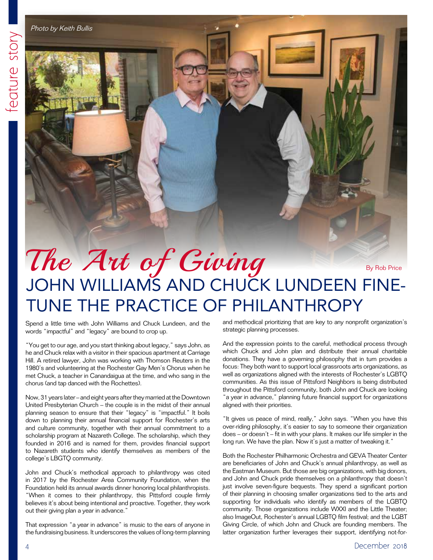Photo by Keith Bullis

## The Art of Giving

By Rob Price

## John Williams and Chuck Lundeen Fine-Tune the Practice of Philanthropy

Spend a little time with John Williams and Chuck Lundeen, and the words "impactful" and "legacy" are bound to crop up.

"You get to our age, and you start thinking about legacy," says John, as he and Chuck relax with a visitor in their spacious apartment at Carriage Hill. A retired lawyer, John was working with Thomson Reuters in the 1980's and volunteering at the Rochester Gay Men's Chorus when he met Chuck, a teacher in Canandaigua at the time, and who sang in the chorus (and tap danced with the Rochettes).

Now, 31 years later – and eight years after they married at the Downtown United Presbyterian Church – the couple is in the midst of their annual planning season to ensure that their "legacy" is "impactful." It boils down to planning their annual financial support for Rochester's arts and culture community, together with their annual commitment to a scholarship program at Nazareth College. The scholarship, which they founded in 2016 and is named for them, provides financial support to Nazareth students who identify themselves as members of the college's LBGTQ community.

John and Chuck's methodical approach to philanthropy was cited in 2017 by the Rochester Area Community Foundation, when the Foundation held its annual awards dinner honoring local philanthropists. "When it comes to their philanthropy, this Pittsford couple firmly believes it's about being intentional and proactive. Together, they work out their giving plan a year in advance."

That expression "a year in advance" is music to the ears of anyone in the fundraising business. It underscores the values of long-term planning

and methodical prioritizing that are key to any nonprofit organization's strategic planning processes.

And the expression points to the careful, methodical process through which Chuck and John plan and distribute their annual charitable donations. They have a governing philosophy that in turn provides a focus: They both want to support local grassroots arts organizations, as well as organizations aligned with the interests of Rochester's LGBTQ communities. As this issue of Pittsford Neighbors is being distributed throughout the Pittsford community, both John and Chuck are looking "a year in advance," planning future financial support for organizations aligned with their priorities.

"It gives us peace of mind, really," John says. "When you have this over-riding philosophy, it's easier to say to someone their organization does – or doesn't – fit in with your plans. It makes our life simpler in the long run. We have the plan. Now it's just a matter of tweaking it."

Both the Rochester Philharmonic Orchestra and GEVA Theater Center are beneficiaries of John and Chuck's annual philanthropy, as well as the Eastman Museum. But those are big organizations, with big donors, and John and Chuck pride themselves on a philanthropy that doesn't just involve seven-figure bequests. They spend a significant portion of their planning in choosing smaller organizations tied to the arts and supporting for individuals who identify as members of the LGBTQ community. Those organizations include WXXI and the Little Theater; also ImageOut, Rochester's annual LGBTQ film festival; and the LGBT Giving Circle, of which John and Chuck are founding members. The latter organization further leverages their support, identifying not-for